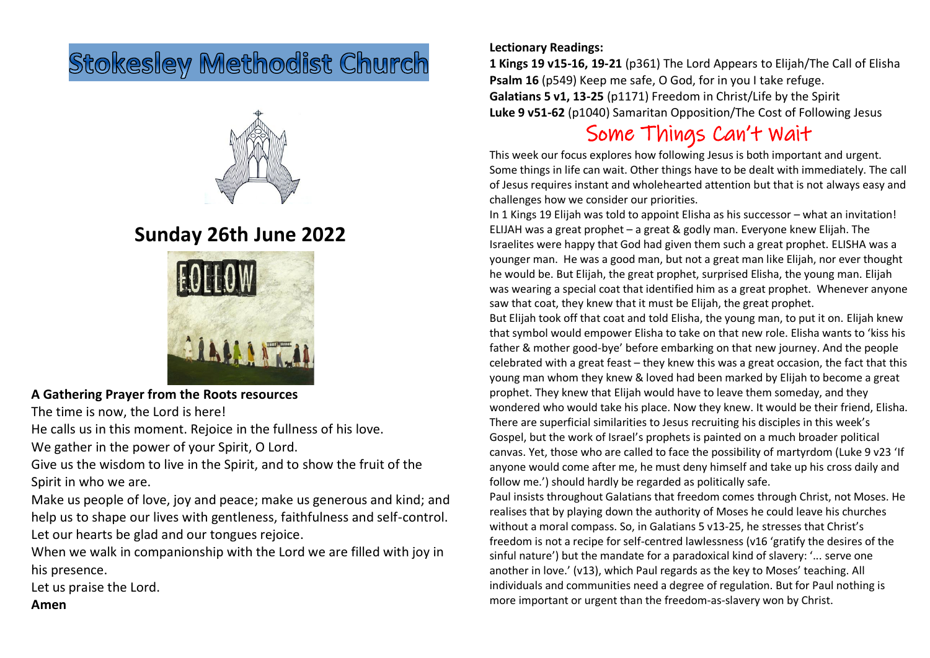# **Stokesley Methodist Church**



## **Sunday 26th June 2022**



**A Gathering Prayer from the Roots resources**

The time is now, the Lord is here!

He calls us in this moment. Rejoice in the fullness of his love.

We gather in the power of your Spirit, O Lord.

Give us the wisdom to live in the Spirit, and to show the fruit of the Spirit in who we are.

Make us people of love, joy and peace; make us generous and kind; and help us to shape our lives with gentleness, faithfulness and self-control. Let our hearts be glad and our tongues rejoice.

When we walk in companionship with the Lord we are filled with joy in his presence.

Let us praise the Lord.

### **Amen**

#### **Lectionary Readings:**

**1 Kings 19 v15-16, 19-21** (p361) The Lord Appears to Elijah/The Call of Elisha **Psalm 16** (p549) Keep me safe, O God, for in you I take refuge. **Galatians 5 v1, 13-25** (p1171) Freedom in Christ/Life by the Spirit **Luke 9 v51-62** (p1040) Samaritan Opposition/The Cost of Following Jesus

### Some Things Can't Wait

This week our focus explores how following Jesus is both important and urgent. Some things in life can wait. Other things have to be dealt with immediately. The call of Jesus requires instant and wholehearted attention but that is not always easy and challenges how we consider our priorities.

In 1 Kings 19 Elijah was told to appoint Elisha as his successor – what an invitation! ELIJAH was a great prophet – a great & godly man. Everyone knew Elijah. The Israelites were happy that God had given them such a great prophet. ELISHA was a younger man. He was a good man, but not a great man like Elijah, nor ever thought he would be. But Elijah, the great prophet, surprised Elisha, the young man. Elijah was wearing a special coat that identified him as a great prophet. Whenever anyone saw that coat, they knew that it must be Elijah, the great prophet. But Elijah took off that coat and told Elisha, the young man, to put it on. Elijah knew that symbol would empower Elisha to take on that new role. Elisha wants to 'kiss his father & mother good-bye' before embarking on that new journey. And the people celebrated with a great feast – they knew this was a great occasion, the fact that this young man whom they knew & loved had been marked by Elijah to become a great prophet. They knew that Elijah would have to leave them someday, and they wondered who would take his place. Now they knew. It would be their friend, Elisha. There are superficial similarities to Jesus recruiting his disciples in this week's Gospel, but the work of Israel's prophets is painted on a much broader political canvas. Yet, those who are called to face the possibility of martyrdom (Luke 9 v23 'If anyone would come after me, he must deny himself and take up his cross daily and follow me.') should hardly be regarded as politically safe.

Paul insists throughout Galatians that freedom comes through Christ, not Moses. He realises that by playing down the authority of Moses he could leave his churches without a moral compass. So, in Galatians 5 v13-25, he stresses that Christ's freedom is not a recipe for self-centred lawlessness (v16 'gratify the desires of the sinful nature') but the mandate for a paradoxical kind of slavery: '... serve one another in love.' (v13), which Paul regards as the key to Moses' teaching. All individuals and communities need a degree of regulation. But for Paul nothing is more important or urgent than the freedom-as-slavery won by Christ.